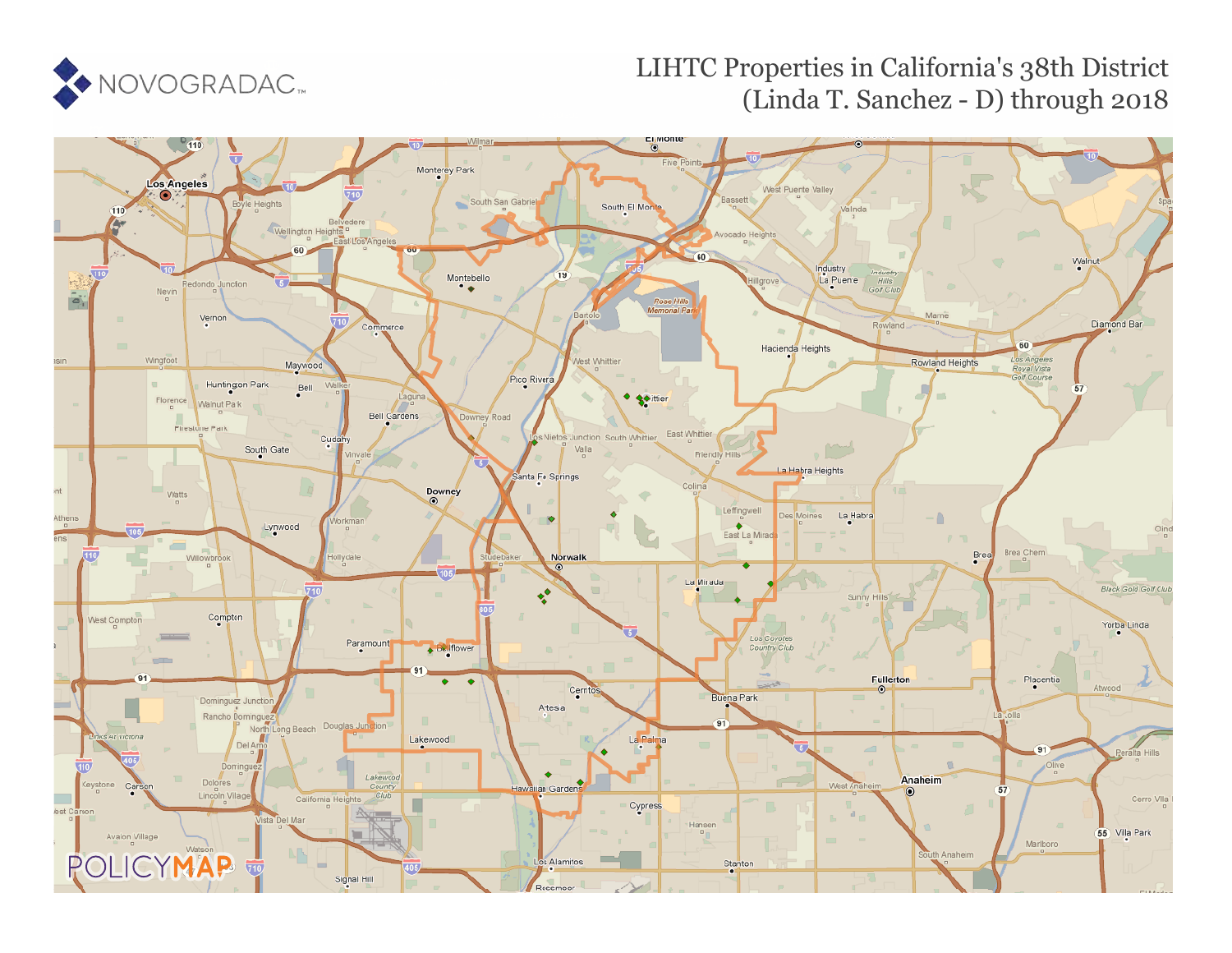

## LIHTC Properties in California's 38th District (Linda T. Sanchez - D) through 2018

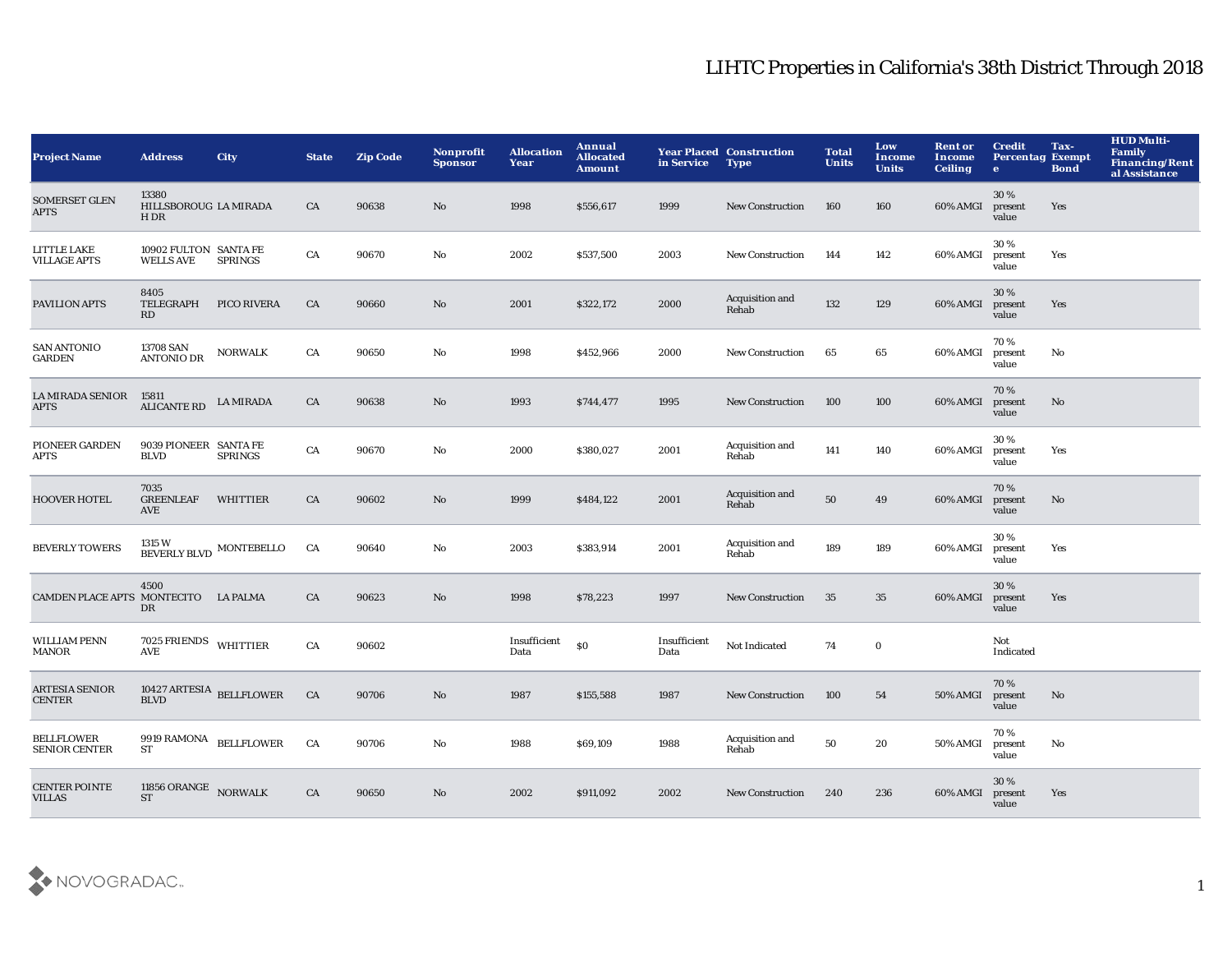## LIHTC Properties in California's 38th District Through 2018

| <b>Project Name</b>                       | <b>Address</b>                            | <b>City</b>             | <b>State</b> | <b>Zip Code</b> | Nonprofit<br><b>Sponsor</b> | <b>Allocation</b><br>Year | Annual<br><b>Allocated</b><br>Amount | in Service           | <b>Year Placed Construction</b><br><b>Type</b> | <b>Total</b><br><b>Units</b> | Low<br>Income<br><b>Units</b> | <b>Rent or</b><br>Income<br><b>Ceiling</b> | <b>Credit</b><br><b>Percentag Exempt</b><br>$\bullet$ | Tax-<br><b>Bond</b> | <b>HUD Multi-</b><br><b>Family</b><br><b>Financing/Rent</b><br>al Assistance |
|-------------------------------------------|-------------------------------------------|-------------------------|--------------|-----------------|-----------------------------|---------------------------|--------------------------------------|----------------------|------------------------------------------------|------------------------------|-------------------------------|--------------------------------------------|-------------------------------------------------------|---------------------|------------------------------------------------------------------------------|
| <b>SOMERSET GLEN</b><br><b>APTS</b>       | 13380<br>HILLSBOROUG LA MIRADA<br>H DR    |                         | CA           | 90638           | No                          | 1998                      | \$556,617                            | 1999                 | <b>New Construction</b>                        | 160                          | 160                           | 60% AMGI                                   | 30%<br>present<br>value                               | Yes                 |                                                                              |
| <b>LITTLE LAKE</b><br><b>VILLAGE APTS</b> | 10902 FULTON SANTA FE<br><b>WELLS AVE</b> | <b>SPRINGS</b>          | CA           | 90670           | No                          | 2002                      | \$537,500                            | 2003                 | New Construction                               | 144                          | 142                           | 60% AMGI                                   | 30%<br>present<br>value                               | Yes                 |                                                                              |
| PAVILION APTS                             | 8405<br>TELEGRAPH<br>RD                   | PICO RIVERA             | CA           | 90660           | $\mathbf{N}\mathbf{o}$      | 2001                      | \$322,172                            | 2000                 | Acquisition and<br>Rehab                       | 132                          | 129                           | 60% AMGI                                   | 30 %<br>present<br>value                              | Yes                 |                                                                              |
| <b>SAN ANTONIO</b><br><b>GARDEN</b>       | 13708 SAN<br><b>ANTONIO DR</b>            | <b>NORWALK</b>          | CA           | 90650           | No                          | 1998                      | \$452,966                            | 2000                 | <b>New Construction</b>                        | 65                           | 65                            | 60% AMGI                                   | 70%<br>present<br>value                               | No                  |                                                                              |
| <b>LA MIRADA SENIOR</b><br><b>APTS</b>    | 15811<br><b>ALICANTE RD</b>               | <b>LA MIRADA</b>        | CA           | 90638           | No                          | 1993                      | \$744,477                            | 1995                 | <b>New Construction</b>                        | 100                          | 100                           | 60% AMGI                                   | 70%<br>present<br>value                               | $\mathbf{No}$       |                                                                              |
| PIONEER GARDEN<br><b>APTS</b>             | 9039 PIONEER SANTA FE<br><b>BLVD</b>      | <b>SPRINGS</b>          | CA           | 90670           | $\mathbf{No}$               | 2000                      | \$380,027                            | 2001                 | Acquisition and<br>Rehab                       | 141                          | 140                           | 60% AMGI                                   | 30%<br>present<br>value                               | Yes                 |                                                                              |
| <b>HOOVER HOTEL</b>                       | 7035<br><b>GREENLEAF</b><br>AVE           | <b>WHITTIER</b>         | CA           | 90602           | No                          | 1999                      | \$484,122                            | 2001                 | Acquisition and<br>Rehab                       | 50                           | 49                            | 60% AMGI                                   | 70%<br>present<br>value                               | $\mathbf{No}$       |                                                                              |
| <b>BEVERLY TOWERS</b>                     | 1315 W                                    | BEVERLY BLVD MONTEBELLO | CA           | 90640           | No                          | 2003                      | \$383,914                            | 2001                 | Acquisition and<br>Rehab                       | 189                          | 189                           | 60% AMGI                                   | 30 %<br>present<br>value                              | Yes                 |                                                                              |
| CAMDEN PLACE APTS MONTECITO               | 4500<br>DR                                | <b>LA PALMA</b>         | CA           | 90623           | No                          | 1998                      | \$78,223                             | 1997                 | <b>New Construction</b>                        | 35                           | 35                            | 60% AMGI                                   | 30%<br>present<br>value                               | Yes                 |                                                                              |
| <b>WILLIAM PENN</b><br>MANOR              | 7025 FRIENDS WHITTIER<br>AVE              |                         | CA           | 90602           |                             | Insufficient<br>Data      | \$0                                  | Insufficient<br>Data | Not Indicated                                  | 74                           | $\bf{0}$                      |                                            | Not<br>Indicated                                      |                     |                                                                              |
| <b>ARTESIA SENIOR</b><br><b>CENTER</b>    | 10427 ARTESIA BELLFLOWER<br><b>BLVD</b>   |                         | CA           | 90706           | No                          | 1987                      | \$155,588                            | 1987                 | <b>New Construction</b>                        | 100                          | 54                            | <b>50% AMGI</b>                            | 70%<br>present<br>value                               | No                  |                                                                              |
| <b>BELLFLOWER</b><br><b>SENIOR CENTER</b> | 9919<br>RAMONA BELLFLOWER<br>ST           |                         | CA           | 90706           | No                          | 1988                      | \$69,109                             | 1988                 | Acquisition and<br>Rehab                       | 50                           | 20                            | 50% AMGI                                   | 70%<br>present<br>value                               | No                  |                                                                              |
| <b>CENTER POINTE</b><br><b>VILLAS</b>     | 11856 ORANGE NORWALK<br><b>ST</b>         |                         | CA           | 90650           | No                          | 2002                      | \$911,092                            | 2002                 | <b>New Construction</b>                        | 240                          | 236                           | 60% AMGI                                   | 30 %<br>present<br>value                              | Yes                 |                                                                              |

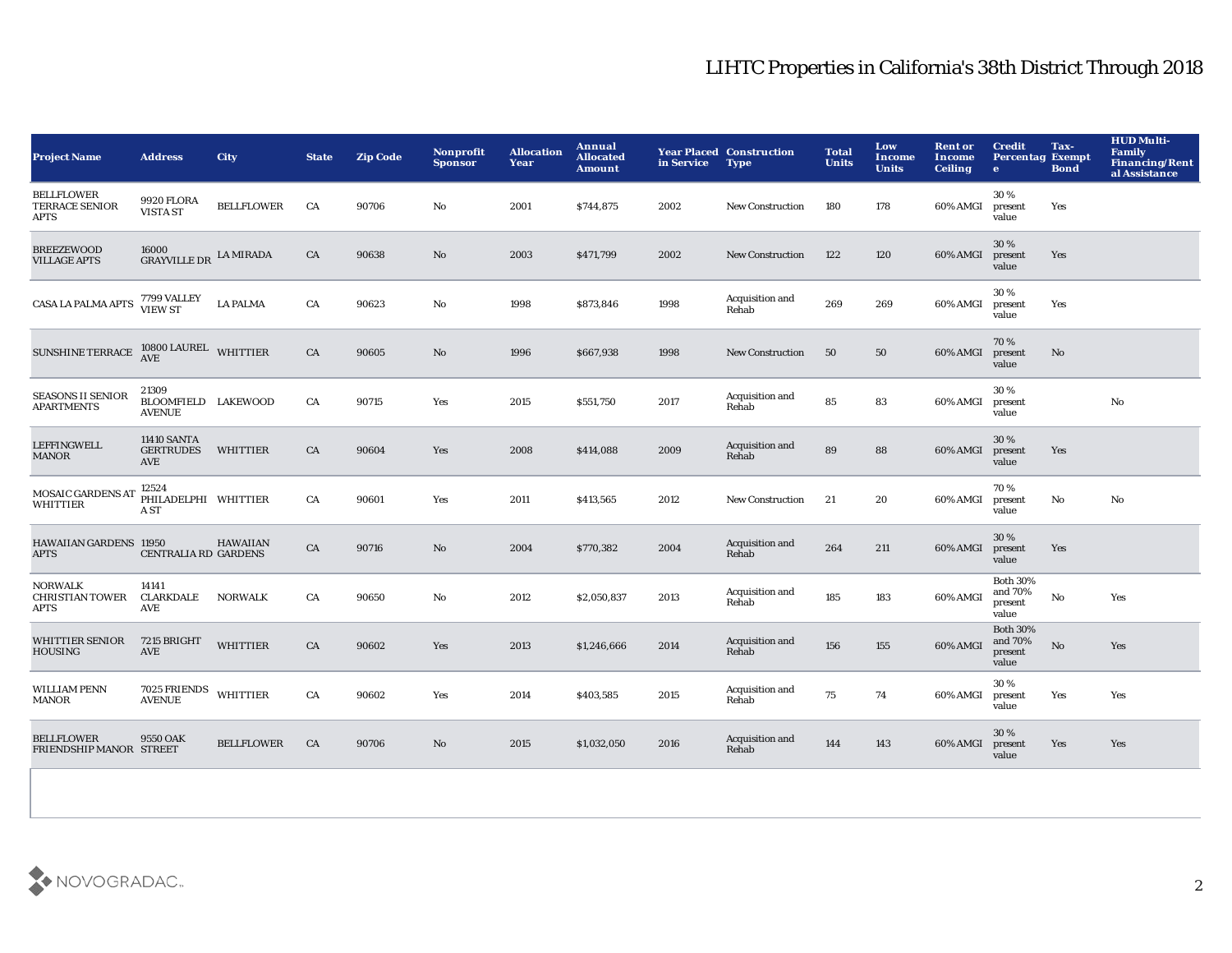## LIHTC Properties in California's 38th District Through 2018

| <b>Project Name</b>                                     | <b>Address</b>                                       | City              | <b>State</b> | <b>Zip Code</b> | <b>Nonprofit</b><br><b>Sponsor</b> | <b>Allocation</b><br>Year | Annual<br><b>Allocated</b><br><b>Amount</b> | in Service | <b>Year Placed Construction</b><br><b>Type</b> | <b>Total</b><br><b>Units</b> | Low<br><b>Income</b><br><b>Units</b> | <b>Rent or</b><br>Income<br><b>Ceiling</b> | <b>Credit</b><br><b>Percentag Exempt</b><br>$\mathbf{e}$ | Tax-<br><b>Bond</b> | <b>HUD Multi-</b><br>Family<br><b>Financing/Rent</b><br>al Assistance |
|---------------------------------------------------------|------------------------------------------------------|-------------------|--------------|-----------------|------------------------------------|---------------------------|---------------------------------------------|------------|------------------------------------------------|------------------------------|--------------------------------------|--------------------------------------------|----------------------------------------------------------|---------------------|-----------------------------------------------------------------------|
| <b>BELLFLOWER</b><br>TERRACE SENIOR<br><b>APTS</b>      | 9920 FLORA<br><b>VISTA ST</b>                        | <b>BELLFLOWER</b> | CA           | 90706           | No                                 | 2001                      | \$744,875                                   | 2002       | <b>New Construction</b>                        | 180                          | 178                                  | 60% AMGI                                   | 30%<br>present<br>value                                  | Yes                 |                                                                       |
| <b>BREEZEWOOD</b><br><b>VILLAGE APTS</b>                | 16000<br><b>GRAYVILLE DR</b>                         | <b>LA MIRADA</b>  | ${\rm CA}$   | 90638           | $\mathbf{N}\mathbf{o}$             | 2003                      | \$471,799                                   | 2002       | <b>New Construction</b>                        | 122                          | 120                                  | 60% AMGI                                   | 30%<br>present<br>value                                  | Yes                 |                                                                       |
| CASA LA PALMA APTS                                      | 7799 VALLEY<br>VIEW ST                               | <b>LA PALMA</b>   | CA           | 90623           | No                                 | 1998                      | \$873,846                                   | 1998       | Acquisition and<br>Rehab                       | 269                          | 269                                  | 60% AMGI                                   | 30%<br>present<br>value                                  | Yes                 |                                                                       |
| SUNSHINE TERRACE $10800$ LAUREL WHITTIER                |                                                      |                   | CA           | 90605           | No                                 | 1996                      | \$667,938                                   | 1998       | <b>New Construction</b>                        | 50                           | 50                                   | 60% AMGI                                   | 70%<br>present<br>value                                  | No                  |                                                                       |
| <b>SEASONS II SENIOR</b><br><b>APARTMENTS</b>           | 21309<br>BLOOMFIELD LAKEWOOD<br><b>AVENUE</b>        |                   | CA           | 90715           | Yes                                | 2015                      | \$551,750                                   | 2017       | Acquisition and<br>Rehab                       | 85                           | 83                                   | 60% AMGI                                   | 30%<br>present<br>value                                  |                     | No                                                                    |
| <b>LEFFINGWELL</b><br><b>MANOR</b>                      | <b>11410 SANTA</b><br><b>GERTRUDES</b><br><b>AVE</b> | WHITTIER          | CA           | 90604           | Yes                                | 2008                      | \$414,088                                   | 2009       | Acquisition and<br>Rehab                       | 89                           | 88                                   | 60% AMGI                                   | 30%<br>present<br>value                                  | Yes                 |                                                                       |
| MOSAIC GARDENS AT<br><b>WHITTIER</b>                    | 12524<br>PHILADELPHI WHITTIER<br>A ST                |                   | CA           | 90601           | Yes                                | 2011                      | \$413,565                                   | 2012       | <b>New Construction</b>                        | 21                           | 20                                   | 60% AMGI                                   | 70%<br>present<br>value                                  | No                  | No                                                                    |
| HAWAIIAN GARDENS 11950<br><b>APTS</b>                   | CENTRALIA RD GARDENS                                 | <b>HAWAIIAN</b>   | ${\rm CA}$   | 90716           | No                                 | 2004                      | \$770,382                                   | 2004       | Acquisition and<br>Rehab                       | 264                          | 211                                  | 60% AMGI                                   | 30%<br>present<br>value                                  | Yes                 |                                                                       |
| <b>NORWALK</b><br><b>CHRISTIAN TOWER</b><br><b>APTS</b> | 14141<br><b>CLARKDALE</b><br><b>AVE</b>              | <b>NORWALK</b>    | CA           | 90650           | $\mathbf{No}$                      | 2012                      | \$2,050,837                                 | 2013       | Acquisition and<br>Rehab                       | 185                          | 183                                  | 60% AMGI                                   | <b>Both 30%</b><br>and 70%<br>present<br>value           | $\mathbf {No}$      | Yes                                                                   |
| <b>WHITTIER SENIOR</b><br><b>HOUSING</b>                | 7215 BRIGHT<br><b>AVE</b>                            | <b>WHITTIER</b>   | ${\rm CA}$   | 90602           | Yes                                | 2013                      | \$1,246,666                                 | 2014       | Acquisition and<br>Rehab                       | 156                          | 155                                  | 60% AMGI                                   | <b>Both 30%</b><br>and 70%<br>present<br>value           | No                  | Yes                                                                   |
| <b>WILLIAM PENN</b><br><b>MANOR</b>                     | 7025 FRIENDS WHITTIER<br><b>AVENUE</b>               |                   | CA           | 90602           | Yes                                | 2014                      | \$403,585                                   | 2015       | Acquisition and<br>Rehab                       | 75                           | 74                                   | 60% AMGI                                   | 30%<br>present<br>value                                  | Yes                 | Yes                                                                   |
| <b>BELLFLOWER</b><br>FRIENDSHIP MANOR STREET            | 9550 OAK                                             | <b>BELLFLOWER</b> | CA           | 90706           | No                                 | 2015                      | \$1,032,050                                 | 2016       | Acquisition and<br>Rehab                       | 144                          | 143                                  | 60% AMGI                                   | 30 %<br>present<br>value                                 | Yes                 | Yes                                                                   |
|                                                         |                                                      |                   |              |                 |                                    |                           |                                             |            |                                                |                              |                                      |                                            |                                                          |                     |                                                                       |